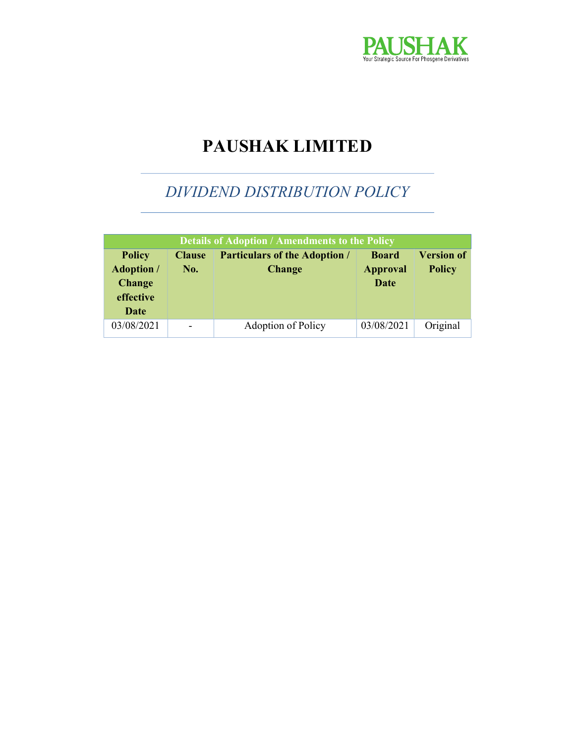

# PAUSHAK LIMITED

# DIVIDEND DISTRIBUTION POLICY

| <b>Details of Adoption / Amendments to the Policy</b>                    |                      |                                                       |                                         |                                    |
|--------------------------------------------------------------------------|----------------------|-------------------------------------------------------|-----------------------------------------|------------------------------------|
| <b>Policy</b><br><b>Adoption</b> /<br><b>Change</b><br>effective<br>Date | <b>Clause</b><br>No. | <b>Particulars of the Adoption /</b><br><b>Change</b> | <b>Board</b><br><b>Approval</b><br>Date | <b>Version of</b><br><b>Policy</b> |
| 03/08/2021                                                               |                      | Adoption of Policy                                    | 03/08/2021                              | Original                           |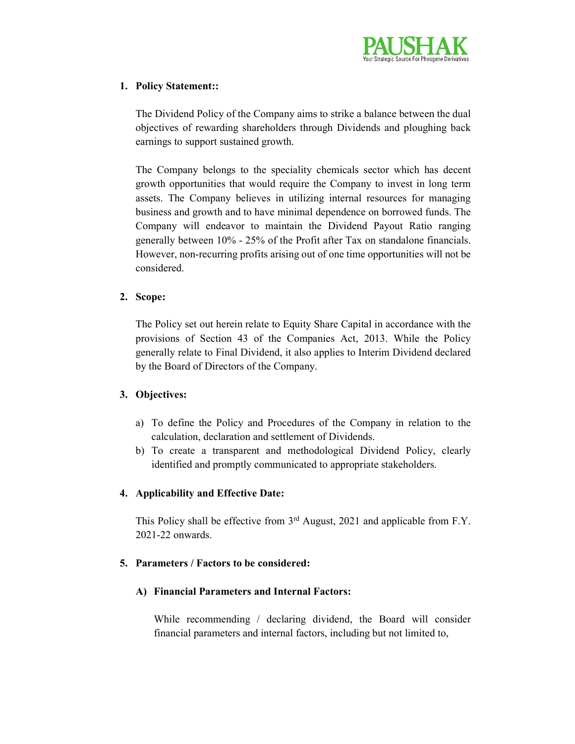

## 1. Policy Statement::

The Dividend Policy of the Company aims to strike a balance between the dual objectives of rewarding shareholders through Dividends and ploughing back earnings to support sustained growth.

The Company belongs to the speciality chemicals sector which has decent growth opportunities that would require the Company to invest in long term assets. The Company believes in utilizing internal resources for managing business and growth and to have minimal dependence on borrowed funds. The Company will endeavor to maintain the Dividend Payout Ratio ranging generally between 10% - 25% of the Profit after Tax on standalone financials. However, non-recurring profits arising out of one time opportunities will not be considered.

# 2. Scope:

The Policy set out herein relate to Equity Share Capital in accordance with the provisions of Section 43 of the Companies Act, 2013. While the Policy generally relate to Final Dividend, it also applies to Interim Dividend declared by the Board of Directors of the Company.

# 3. Objectives:

- a) To define the Policy and Procedures of the Company in relation to the calculation, declaration and settlement of Dividends.
- b) To create a transparent and methodological Dividend Policy, clearly identified and promptly communicated to appropriate stakeholders.

# 4. Applicability and Effective Date:

This Policy shall be effective from 3<sup>rd</sup> August, 2021 and applicable from F.Y. 2021-22 onwards.

### 5. Parameters / Factors to be considered:

# A) Financial Parameters and Internal Factors:

While recommending / declaring dividend, the Board will consider financial parameters and internal factors, including but not limited to,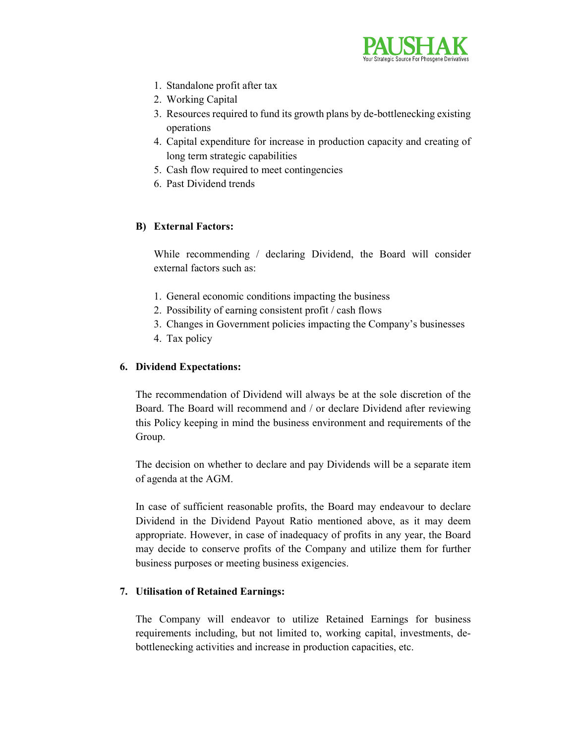

- 1. Standalone profit after tax
- 2. Working Capital
- 3. Resources required to fund its growth plans by de-bottlenecking existing operations
- 4. Capital expenditure for increase in production capacity and creating of long term strategic capabilities
- 5. Cash flow required to meet contingencies
- 6. Past Dividend trends

# B) External Factors:

While recommending / declaring Dividend, the Board will consider external factors such as:

- 1. General economic conditions impacting the business
- 2. Possibility of earning consistent profit / cash flows
- 3. Changes in Government policies impacting the Company's businesses
- 4. Tax policy

# 6. Dividend Expectations:

The recommendation of Dividend will always be at the sole discretion of the Board. The Board will recommend and / or declare Dividend after reviewing this Policy keeping in mind the business environment and requirements of the Group.

The decision on whether to declare and pay Dividends will be a separate item of agenda at the AGM.

In case of sufficient reasonable profits, the Board may endeavour to declare Dividend in the Dividend Payout Ratio mentioned above, as it may deem appropriate. However, in case of inadequacy of profits in any year, the Board may decide to conserve profits of the Company and utilize them for further business purposes or meeting business exigencies.

### 7. Utilisation of Retained Earnings:

The Company will endeavor to utilize Retained Earnings for business requirements including, but not limited to, working capital, investments, debottlenecking activities and increase in production capacities, etc.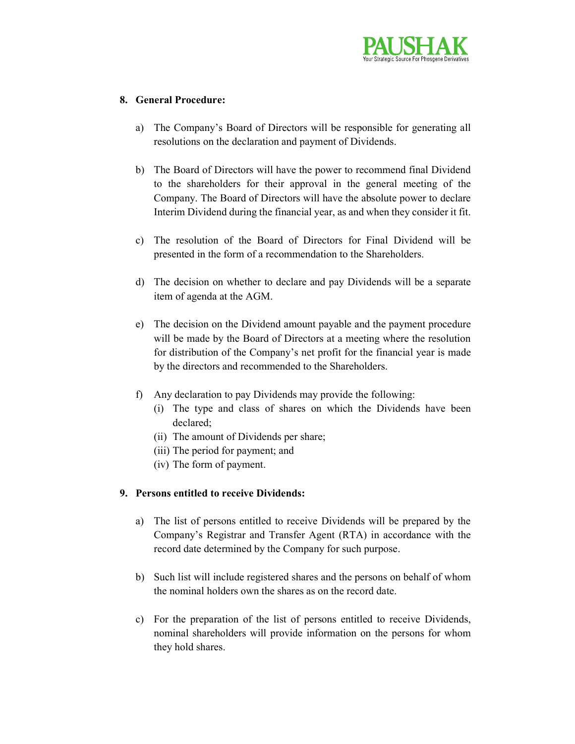

#### 8. General Procedure:

- a) The Company's Board of Directors will be responsible for generating all resolutions on the declaration and payment of Dividends.
- b) The Board of Directors will have the power to recommend final Dividend to the shareholders for their approval in the general meeting of the Company. The Board of Directors will have the absolute power to declare Interim Dividend during the financial year, as and when they consider it fit.
- c) The resolution of the Board of Directors for Final Dividend will be presented in the form of a recommendation to the Shareholders.
- d) The decision on whether to declare and pay Dividends will be a separate item of agenda at the AGM.
- e) The decision on the Dividend amount payable and the payment procedure will be made by the Board of Directors at a meeting where the resolution for distribution of the Company's net profit for the financial year is made by the directors and recommended to the Shareholders.
- f) Any declaration to pay Dividends may provide the following:
	- (i) The type and class of shares on which the Dividends have been declared;
	- (ii) The amount of Dividends per share;
	- (iii) The period for payment; and
	- (iv) The form of payment.

### 9. Persons entitled to receive Dividends:

- a) The list of persons entitled to receive Dividends will be prepared by the Company's Registrar and Transfer Agent (RTA) in accordance with the record date determined by the Company for such purpose.
- b) Such list will include registered shares and the persons on behalf of whom the nominal holders own the shares as on the record date.
- c) For the preparation of the list of persons entitled to receive Dividends, nominal shareholders will provide information on the persons for whom they hold shares.